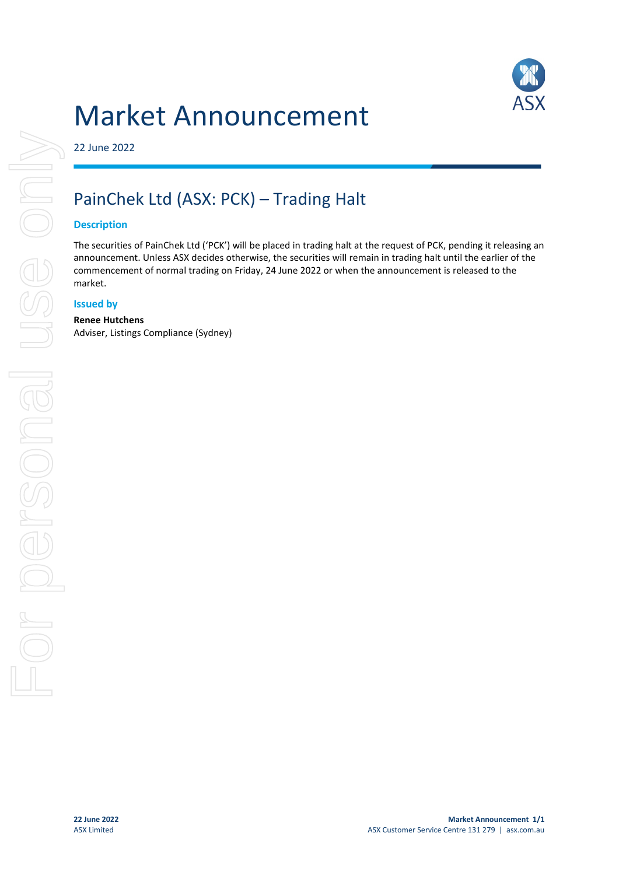

# Market Announcement

## 22 June 2022

# PainChek Ltd (ASX: PCK) – Trading Halt

### **Description**

The securities of PainChek Ltd ('PCK') will be placed in trading halt at the request of PCK, pending it releasing an announcement. Unless ASX decides otherwise, the securities will remain in trading halt until the earlier of the commencement of normal trading on Friday, 24 June 2022 or when the announcement is released to the market.

### **Issued by**

#### **Renee Hutchens**

Adviser, Listings Compliance (Sydney)